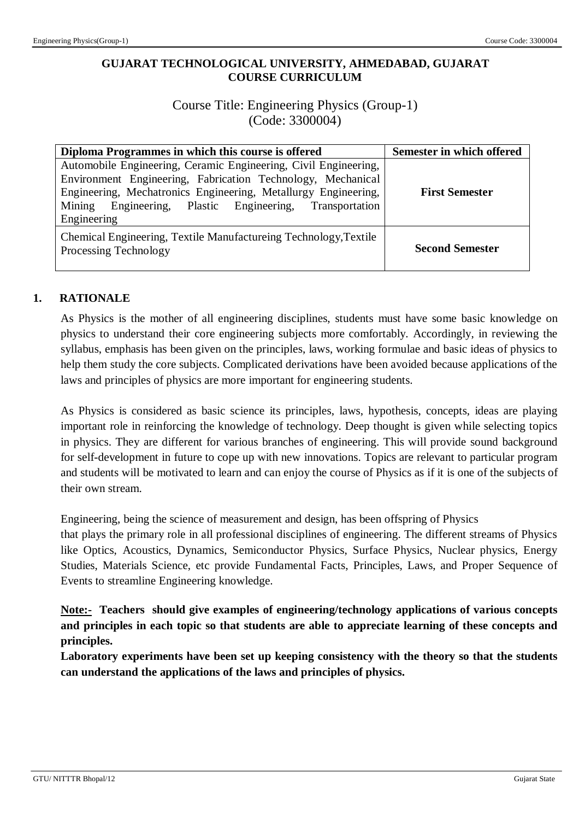# **GUJARAT TECHNOLOGICAL UNIVERSITY, AHMEDABAD, GUJARAT COURSE CURRICULUM**

# Course Title: Engineering Physics (Group-1) (Code: 3300004)

| Diploma Programmes in which this course is offered                                                                                                                                                                                                                            | Semester in which offered |
|-------------------------------------------------------------------------------------------------------------------------------------------------------------------------------------------------------------------------------------------------------------------------------|---------------------------|
| Automobile Engineering, Ceramic Engineering, Civil Engineering,<br>Environment Engineering, Fabrication Technology, Mechanical<br>Engineering, Mechatronics Engineering, Metallurgy Engineering,<br>Engineering, Plastic Engineering, Transportation<br>Mining<br>Engineering | <b>First Semester</b>     |
| Chemical Engineering, Textile Manufactureing Technology, Textile<br>Processing Technology                                                                                                                                                                                     | <b>Second Semester</b>    |

# **1. RATIONALE**

As Physics is the mother of all engineering disciplines, students must have some basic knowledge on physics to understand their core engineering subjects more comfortably. Accordingly, in reviewing the syllabus, emphasis has been given on the principles, laws, working formulae and basic ideas of physics to help them study the core subjects. Complicated derivations have been avoided because applications of the laws and principles of physics are more important for engineering students.

As Physics is considered as basic science its principles, laws, hypothesis, concepts, ideas are playing important role in reinforcing the knowledge of technology. Deep thought is given while selecting topics in physics. They are different for various branches of engineering. This will provide sound background for self-development in future to cope up with new innovations. Topics are relevant to particular program and students will be motivated to learn and can enjoy the course of Physics as if it is one of the subjects of their own stream.

Engineering, being the science of measurement and design, has been offspring of Physics

that plays the primary role in all professional disciplines of engineering. The different streams of Physics like Optics, Acoustics, Dynamics, Semiconductor Physics, Surface Physics, Nuclear physics, Energy Studies, Materials Science, etc provide Fundamental Facts, Principles, Laws, and Proper Sequence of Events to streamline Engineering knowledge.

**Note:- Teachers should give examples of engineering/technology applications of various concepts and principles in each topic so that students are able to appreciate learning of these concepts and principles.**

**Laboratory experiments have been set up keeping consistency with the theory so that the students can understand the applications of the laws and principles of physics.**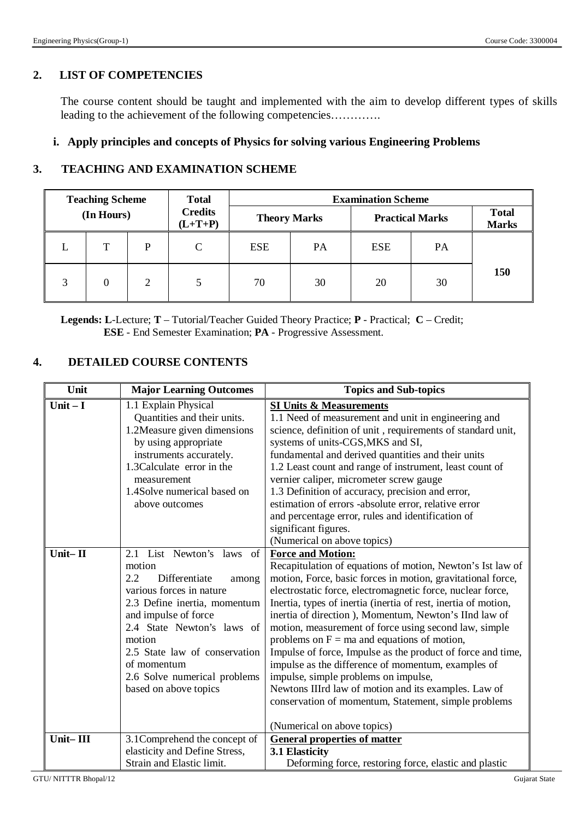#### **2. LIST OF COMPETENCIES**

The course content should be taught and implemented with the aim to develop different types of skills leading to the achievement of the following competencies………….

#### **i. Apply principles and concepts of Physics for solving various Engineering Problems**

#### **3. TEACHING AND EXAMINATION SCHEME**

|   | <b>Teaching Scheme</b> |   | <b>Total</b>                | <b>Examination Scheme</b> |           |                        |    |                              |
|---|------------------------|---|-----------------------------|---------------------------|-----------|------------------------|----|------------------------------|
|   | (In Hours)             |   | <b>Credits</b><br>$(L+T+P)$ | <b>Theory Marks</b>       |           | <b>Practical Marks</b> |    | <b>Total</b><br><b>Marks</b> |
|   |                        | P | C                           | <b>ESE</b>                | <b>PA</b> | ESE                    | PA |                              |
| 3 | $\theta$               | 2 |                             | 70                        | 30        | 20                     | 30 | <b>150</b>                   |

**Legends: L**-Lecture; **T** – Tutorial/Teacher Guided Theory Practice; **P** - Practical; **C** – Credit;  **ESE** - End Semester Examination; **PA** - Progressive Assessment.

#### **4. DETAILED COURSE CONTENTS**

| Unit                 | <b>Major Learning Outcomes</b>                                                                                                                                                                                                                                                                                                                                                                                                                                                                                                                      | <b>Topics and Sub-topics</b>                                                                                                                                                                                                                                                                                                                                                                                                                                                                                                                                                                                                                                                                                                                                                                                                                                                                                                                                                                                                                                                                                                                                                                                                                                                                                               |
|----------------------|-----------------------------------------------------------------------------------------------------------------------------------------------------------------------------------------------------------------------------------------------------------------------------------------------------------------------------------------------------------------------------------------------------------------------------------------------------------------------------------------------------------------------------------------------------|----------------------------------------------------------------------------------------------------------------------------------------------------------------------------------------------------------------------------------------------------------------------------------------------------------------------------------------------------------------------------------------------------------------------------------------------------------------------------------------------------------------------------------------------------------------------------------------------------------------------------------------------------------------------------------------------------------------------------------------------------------------------------------------------------------------------------------------------------------------------------------------------------------------------------------------------------------------------------------------------------------------------------------------------------------------------------------------------------------------------------------------------------------------------------------------------------------------------------------------------------------------------------------------------------------------------------|
| Unit $-I$<br>Unit-II | 1.1 Explain Physical<br>Quantities and their units.<br>1.2Measure given dimensions<br>by using appropriate<br>instruments accurately.<br>1.3 Calculate error in the<br>measurement<br>1.4Solve numerical based on<br>above outcomes<br>2.1 List Newton's laws<br>of<br>motion<br>2.2<br>Differentiate<br>among<br>various forces in nature<br>2.3 Define inertia, momentum<br>and impulse of force<br>2.4 State Newton's laws of<br>motion<br>2.5 State law of conservation<br>of momentum<br>2.6 Solve numerical problems<br>based on above topics | <b>SI Units &amp; Measurements</b><br>1.1 Need of measurement and unit in engineering and<br>science, definition of unit, requirements of standard unit,<br>systems of units-CGS, MKS and SI,<br>fundamental and derived quantities and their units<br>1.2 Least count and range of instrument, least count of<br>vernier caliper, micrometer screw gauge<br>1.3 Definition of accuracy, precision and error,<br>estimation of errors -absolute error, relative error<br>and percentage error, rules and identification of<br>significant figures.<br>(Numerical on above topics)<br><b>Force and Motion:</b><br>Recapitulation of equations of motion, Newton's Ist law of<br>motion, Force, basic forces in motion, gravitational force,<br>electrostatic force, electromagnetic force, nuclear force,<br>Inertia, types of inertia (inertia of rest, inertia of motion,<br>inertia of direction), Momentum, Newton's IInd law of<br>motion, measurement of force using second law, simple<br>problems on $F = ma$ and equations of motion,<br>Impulse of force, Impulse as the product of force and time,<br>impulse as the difference of momentum, examples of<br>impulse, simple problems on impulse,<br>Newtons IIIrd law of motion and its examples. Law of<br>conservation of momentum, Statement, simple problems |
| Unit-III             | 3.1Comprehend the concept of<br>elasticity and Define Stress,                                                                                                                                                                                                                                                                                                                                                                                                                                                                                       | (Numerical on above topics)<br><b>General properties of matter</b><br>3.1 Elasticity                                                                                                                                                                                                                                                                                                                                                                                                                                                                                                                                                                                                                                                                                                                                                                                                                                                                                                                                                                                                                                                                                                                                                                                                                                       |
|                      | Strain and Elastic limit.                                                                                                                                                                                                                                                                                                                                                                                                                                                                                                                           | Deforming force, restoring force, elastic and plastic                                                                                                                                                                                                                                                                                                                                                                                                                                                                                                                                                                                                                                                                                                                                                                                                                                                                                                                                                                                                                                                                                                                                                                                                                                                                      |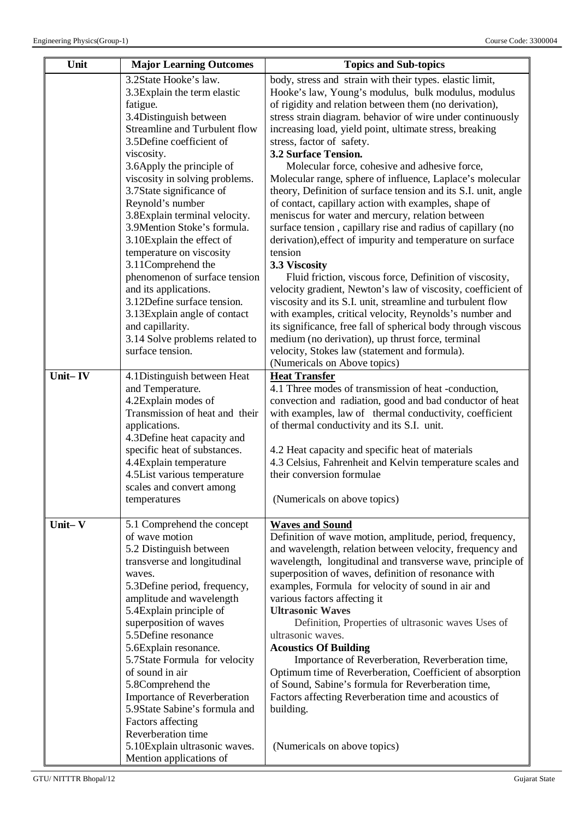| Unit       | <b>Major Learning Outcomes</b>                                                                                                                                                                                                                                                                                                                                                                                                                                                                                                                                                                                                          | <b>Topics and Sub-topics</b>                                                                                                                                                                                                                                                                                                                                                                                                                                                                                                                                                                                                                                                                                                                                                                                                                                                                                                                                                                                                                                                                                                                                                                                                                                            |  |  |
|------------|-----------------------------------------------------------------------------------------------------------------------------------------------------------------------------------------------------------------------------------------------------------------------------------------------------------------------------------------------------------------------------------------------------------------------------------------------------------------------------------------------------------------------------------------------------------------------------------------------------------------------------------------|-------------------------------------------------------------------------------------------------------------------------------------------------------------------------------------------------------------------------------------------------------------------------------------------------------------------------------------------------------------------------------------------------------------------------------------------------------------------------------------------------------------------------------------------------------------------------------------------------------------------------------------------------------------------------------------------------------------------------------------------------------------------------------------------------------------------------------------------------------------------------------------------------------------------------------------------------------------------------------------------------------------------------------------------------------------------------------------------------------------------------------------------------------------------------------------------------------------------------------------------------------------------------|--|--|
|            | 3.2State Hooke's law.<br>3.3 Explain the term elastic<br>fatigue.<br>3.4Distinguish between<br>Streamline and Turbulent flow<br>3.5Define coefficient of<br>viscosity.<br>3.6Apply the principle of<br>viscosity in solving problems.<br>3.7State significance of<br>Reynold's number<br>3.8Explain terminal velocity.<br>3.9Mention Stoke's formula.<br>3.10Explain the effect of<br>temperature on viscosity<br>3.11Comprehend the<br>phenomenon of surface tension<br>and its applications.<br>3.12Define surface tension.<br>3.13Explain angle of contact<br>and capillarity.<br>3.14 Solve problems related to<br>surface tension. | body, stress and strain with their types. elastic limit,<br>Hooke's law, Young's modulus, bulk modulus, modulus<br>of rigidity and relation between them (no derivation),<br>stress strain diagram. behavior of wire under continuously<br>increasing load, yield point, ultimate stress, breaking<br>stress, factor of safety.<br>3.2 Surface Tension.<br>Molecular force, cohesive and adhesive force,<br>Molecular range, sphere of influence, Laplace's molecular<br>theory, Definition of surface tension and its S.I. unit, angle<br>of contact, capillary action with examples, shape of<br>meniscus for water and mercury, relation between<br>surface tension, capillary rise and radius of capillary (no<br>derivation), effect of impurity and temperature on surface<br>tension<br>3.3 Viscosity<br>Fluid friction, viscous force, Definition of viscosity,<br>velocity gradient, Newton's law of viscosity, coefficient of<br>viscosity and its S.I. unit, streamline and turbulent flow<br>with examples, critical velocity, Reynolds's number and<br>its significance, free fall of spherical body through viscous<br>medium (no derivation), up thrust force, terminal<br>velocity, Stokes law (statement and formula).<br>(Numericals on Above topics) |  |  |
| Unit-IV    | 4.1Distinguish between Heat<br>and Temperature.<br>4.2Explain modes of<br>Transmission of heat and their<br>applications.<br>4.3Define heat capacity and<br>specific heat of substances.<br>4.4Explain temperature<br>4.5List various temperature<br>scales and convert among<br>temperatures                                                                                                                                                                                                                                                                                                                                           | <b>Heat Transfer</b><br>4.1 Three modes of transmission of heat -conduction,<br>convection and radiation, good and bad conductor of heat<br>with examples, law of thermal conductivity, coefficient<br>of thermal conductivity and its S.I. unit.<br>4.2 Heat capacity and specific heat of materials<br>4.3 Celsius, Fahrenheit and Kelvin temperature scales and<br>their conversion formulae<br>(Numericals on above topics)                                                                                                                                                                                                                                                                                                                                                                                                                                                                                                                                                                                                                                                                                                                                                                                                                                         |  |  |
| Unit $-$ V | 5.1 Comprehend the concept<br>of wave motion<br>5.2 Distinguish between<br>transverse and longitudinal<br>waves.<br>5.3Define period, frequency,<br>amplitude and wavelength<br>5.4Explain principle of<br>superposition of waves<br>5.5Define resonance<br>5.6Explain resonance.<br>5.7State Formula for velocity<br>of sound in air<br>5.8Comprehend the<br><b>Importance of Reverberation</b><br>5.9State Sabine's formula and<br>Factors affecting<br>Reverberation time<br>5.10Explain ultrasonic waves.<br>Mention applications of                                                                                                | <b>Waves and Sound</b><br>Definition of wave motion, amplitude, period, frequency,<br>and wavelength, relation between velocity, frequency and<br>wavelength, longitudinal and transverse wave, principle of<br>superposition of waves, definition of resonance with<br>examples, Formula for velocity of sound in air and<br>various factors affecting it<br><b>Ultrasonic Waves</b><br>Definition, Properties of ultrasonic waves Uses of<br>ultrasonic waves.<br><b>Acoustics Of Building</b><br>Importance of Reverberation, Reverberation time,<br>Optimum time of Reverberation, Coefficient of absorption<br>of Sound, Sabine's formula for Reverberation time,<br>Factors affecting Reverberation time and acoustics of<br>building.<br>(Numericals on above topics)                                                                                                                                                                                                                                                                                                                                                                                                                                                                                            |  |  |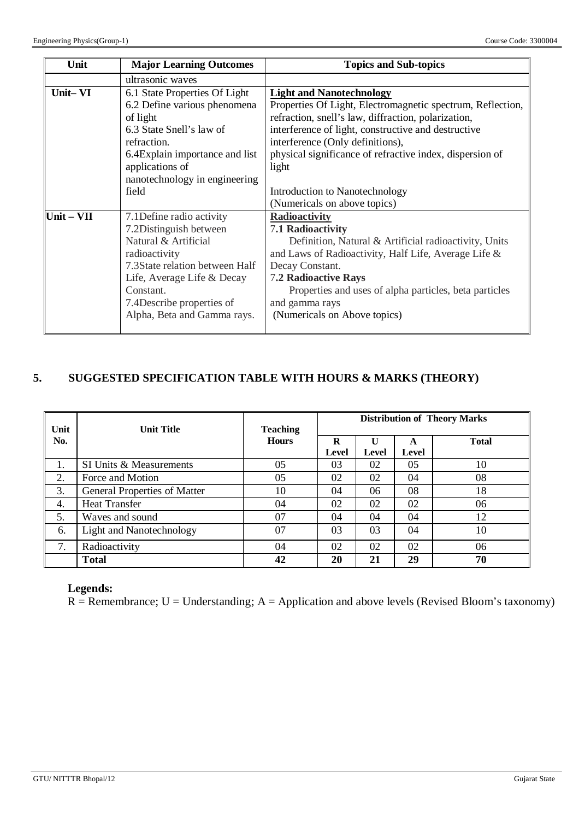| Unit                       | <b>Major Learning Outcomes</b>                                                                                                                                                                                                         | <b>Topics and Sub-topics</b>                                                                                                                                                                                                                                                                                         |  |
|----------------------------|----------------------------------------------------------------------------------------------------------------------------------------------------------------------------------------------------------------------------------------|----------------------------------------------------------------------------------------------------------------------------------------------------------------------------------------------------------------------------------------------------------------------------------------------------------------------|--|
|                            | ultrasonic waves                                                                                                                                                                                                                       |                                                                                                                                                                                                                                                                                                                      |  |
| Unit-VI                    | 6.1 State Properties Of Light<br>6.2 Define various phenomena<br>of light<br>6.3 State Snell's law of<br>refraction.<br>6.4 Explain importance and list<br>applications of                                                             | <b>Light and Nanotechnology</b><br>Properties Of Light, Electromagnetic spectrum, Reflection,<br>refraction, snell's law, diffraction, polarization,<br>interference of light, constructive and destructive<br>interference (Only definitions),<br>physical significance of refractive index, dispersion of<br>light |  |
|                            | nanotechnology in engineering<br>field                                                                                                                                                                                                 | Introduction to Nanotechnology<br>(Numericals on above topics)                                                                                                                                                                                                                                                       |  |
| $\text{Unit} - \text{VII}$ | 7.1 Define radio activity<br>7.2Distinguish between<br>Natural & Artificial<br>radioactivity<br>7.3State relation between Half<br>Life, Average Life & Decay<br>Constant.<br>7.4 Describe properties of<br>Alpha, Beta and Gamma rays. | <b>Radioactivity</b><br>7.1 Radioactivity<br>Definition, Natural & Artificial radioactivity, Units<br>and Laws of Radioactivity, Half Life, Average Life &<br>Decay Constant.<br>7.2 Radioactive Rays<br>Properties and uses of alpha particles, beta particles<br>and gamma rays<br>(Numericals on Above topics)    |  |

# **5. SUGGESTED SPECIFICATION TABLE WITH HOURS & MARKS (THEORY)**

|      |                                     |                 | <b>Distribution of Theory Marks</b> |       |                |              |  |
|------|-------------------------------------|-----------------|-------------------------------------|-------|----------------|--------------|--|
| Unit | <b>Unit Title</b>                   | <b>Teaching</b> |                                     |       |                |              |  |
| No.  |                                     | <b>Hours</b>    | R                                   | U     | A              | <b>Total</b> |  |
|      |                                     |                 | Level                               | Level | Level          |              |  |
| 1.   | SI Units & Measurements             | 05              | 03                                  | 02    | 0 <sub>5</sub> | 10           |  |
| 2.   | Force and Motion                    | 05              | 02                                  | 02    | 04             | 08           |  |
| 3.   | <b>General Properties of Matter</b> | 10              | 04                                  | 06    | 08             | 18           |  |
| 4.   | <b>Heat Transfer</b>                | 04              | 02                                  | 02    | 02             | 06           |  |
| 5.   | Waves and sound                     | 07              | 04                                  | 04    | 04             | 12           |  |
| 6.   | Light and Nanotechnology            | 07              | 03                                  | 03    | 04             | 10           |  |
| 7.   | Radioactivity                       | 04              | 02                                  | 02    | 02             | 06           |  |
|      | <b>Total</b>                        | 42              | 20                                  | 21    | 29             | 70           |  |

#### **Legends:**

 $R =$  Remembrance; U = Understanding; A = Application and above levels (Revised Bloom's taxonomy)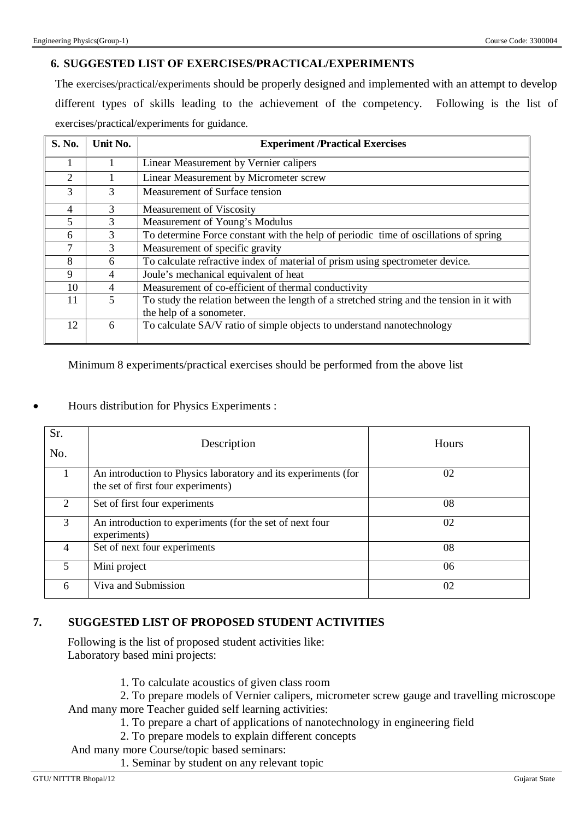# **6. SUGGESTED LIST OF EXERCISES/PRACTICAL/EXPERIMENTS**

The exercises/practical/experiments should be properly designed and implemented with an attempt to develop different types of skills leading to the achievement of the competency. Following is the list of exercises/practical/experiments for guidance.

| S. No.         | Unit No.                 | <b>Experiment /Practical Exercises</b>                                                    |  |  |
|----------------|--------------------------|-------------------------------------------------------------------------------------------|--|--|
|                |                          | Linear Measurement by Vernier calipers                                                    |  |  |
| 2              |                          | Linear Measurement by Micrometer screw                                                    |  |  |
| 3              | 3                        | Measurement of Surface tension                                                            |  |  |
| $\overline{4}$ | 3                        | Measurement of Viscosity                                                                  |  |  |
| 5              | 3                        | Measurement of Young's Modulus                                                            |  |  |
| 6              | 3                        | To determine Force constant with the help of periodic time of oscillations of spring      |  |  |
| $\tau$         | 3                        | Measurement of specific gravity                                                           |  |  |
| 8              | 6                        | To calculate refractive index of material of prism using spectrometer device.             |  |  |
| 9              | 4                        | Joule's mechanical equivalent of heat                                                     |  |  |
| 10             | $\overline{\mathcal{A}}$ | Measurement of co-efficient of thermal conductivity                                       |  |  |
| 11             | 5                        | To study the relation between the length of a stretched string and the tension in it with |  |  |
|                |                          | the help of a sonometer.                                                                  |  |  |
| 12             | 6                        | To calculate SA/V ratio of simple objects to understand nanotechnology                    |  |  |

Minimum 8 experiments/practical exercises should be performed from the above list

|  |  |  |  |  | Hours distribution for Physics Experiments : |  |
|--|--|--|--|--|----------------------------------------------|--|
|--|--|--|--|--|----------------------------------------------|--|

| Sr.<br>No.                  | Description                                                                                          | Hours |
|-----------------------------|------------------------------------------------------------------------------------------------------|-------|
|                             | An introduction to Physics laboratory and its experiments (for<br>the set of first four experiments) | 02    |
| $\mathcal{D}_{\mathcal{L}}$ | Set of first four experiments                                                                        | 08    |
| 3                           | An introduction to experiments (for the set of next four<br>experiments)                             | 02    |
| 4                           | Set of next four experiments                                                                         | 08    |
| 5.                          | Mini project                                                                                         | 06    |
| 6                           | Viva and Submission                                                                                  | 02    |

## **7. SUGGESTED LIST OF PROPOSED STUDENT ACTIVITIES**

Following is the list of proposed student activities like: Laboratory based mini projects:

- 1. To calculate acoustics of given class room
- 2. To prepare models of Vernier calipers, micrometer screw gauge and travelling microscope And many more Teacher guided self learning activities:
	- 1. To prepare a chart of applications of nanotechnology in engineering field
	- 2. To prepare models to explain different concepts
- And many more Course/topic based seminars:
	- 1. Seminar by student on any relevant topic